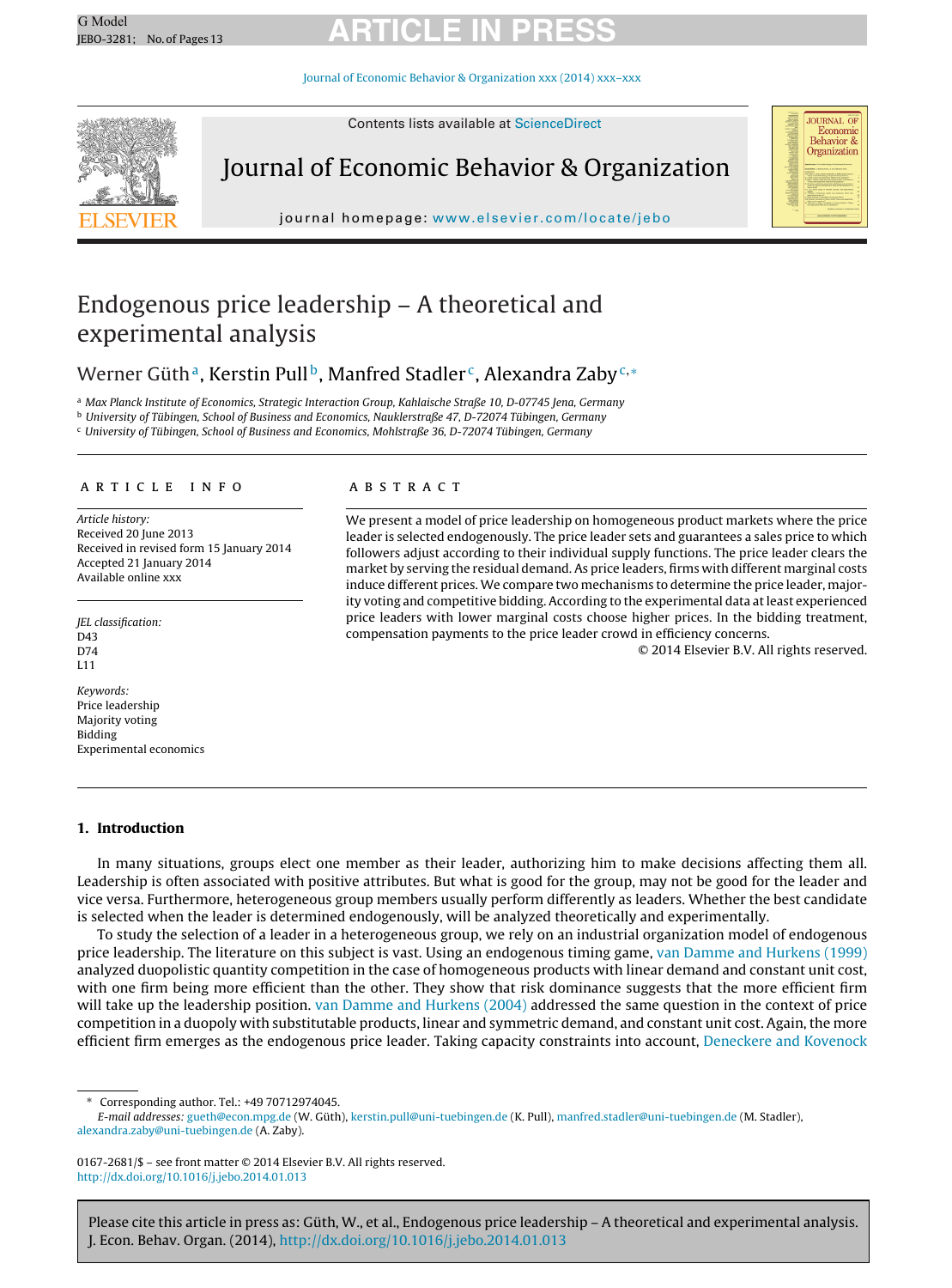# G Model G Model **ARTICLE IN PRESS**

Journal of Economic Behavior & [Organization](dx.doi.org/10.1016/j.jebo.2014.01.013) xxx (2014) xxx–xxx



Contents lists available at [ScienceDirect](http://www.sciencedirect.com/science/journal/01672681)

Journal of Economic Behavior & Organization

journal homepage: [www.elsevier.com/locate/jebo](http://www.elsevier.com/locate/jebo)



### Endogenous price leadership – A theoretical and experimental analysis

Werner Güth<sup>a</sup>, Kerstin Pull<sup>b</sup>, Manfred Stadler<sup>c</sup>, Alexandra Zaby<sup>c,\*</sup>

a Max Planck Institute of Economics, Strategic Interaction Group, Kahlaische Straße 10, D-07745 Jena, Germany

<sup>b</sup> University of Tübingen, School of Business and Economics, Nauklerstraße 47, D-72074 Tübingen, Germany

<sup>c</sup> University of Tübingen, School of Business and Economics, Mohlstraße 36, D-72074 Tübingen, Germany

#### a r t i c l e i n f o

Article history: Received 20 June 2013 Received in revised form 15 January 2014 Accepted 21 January 2014 Available online xxx

JEL classification: D43  $D74$ L11

Keywords: Price leadership Majority voting Bidding Experimental economics

#### A B S T R A C T

We present a model of price leadership on homogeneous product markets where the price leader is selected endogenously. The price leader sets and guarantees a sales price to which followers adjust according to their individual supply functions. The price leader clears the market by serving the residual demand. As price leaders, firms with different marginal costs induce different prices. We compare two mechanisms to determine the price leader, majority voting and competitive bidding. According to the experimental data at least experienced price leaders with lower marginal costs choose higher prices. In the bidding treatment, compensation payments to the price leader crowd in efficiency concerns.

© 2014 Elsevier B.V. All rights reserved.

#### **1. Introduction**

In many situations, groups elect one member as their leader, authorizing him to make decisions affecting them all. Leadership is often associated with positive attributes. But what is good for the group, may not be good for the leader and vice versa. Furthermore, heterogeneous group members usually perform differently as leaders. Whether the best candidate is selected when the leader is determined endogenously, will be analyzed theoretically and experimentally.

To study the selection of a leader in a heterogeneous group, we rely on an industrial organization model of endogenous price leadership. The literature on this subject is vast. Using an endogenous timing game, [van](#page--1-0) [Damme](#page--1-0) [and](#page--1-0) [Hurkens](#page--1-0) [\(1999\)](#page--1-0) analyzed duopolistic quantity competition in the case of homogeneous products with linear demand and constant unit cost, with one firm being more efficient than the other. They show that risk dominance suggests that the more efficient firm will take up the leadership position. [van](#page--1-0) [Damme](#page--1-0) [and](#page--1-0) [Hurkens](#page--1-0) [\(2004\)](#page--1-0) addressed the same question in the context of price competition in a duopoly with substitutable products, linear and symmetric demand, and constant unit cost. Again, the more efficient firm emerges as the endogenous price leader. Taking capacity constraints into account, [Deneckere](#page--1-0) [and](#page--1-0) [Kovenock](#page--1-0)

∗ Corresponding author. Tel.: +49 70712974045.

0167-2681/\$ – see front matter © 2014 Elsevier B.V. All rights reserved. [http://dx.doi.org/10.1016/j.jebo.2014.01.013](dx.doi.org/10.1016/j.jebo.2014.01.013)

Please cite this article in press as: Güth, W., et al., Endogenous price leadership – A theoretical and experimental analysis. J. Econ. Behav. Organ. (2014), [http://dx.doi.org/10.1016/j.jebo.2014.01.013](dx.doi.org/10.1016/j.jebo.2014.01.013)

E-mail addresses: [gueth@econ.mpg.de](mailto:gueth@econ.mpg.de) (W. Güth), [kerstin.pull@uni-tuebingen.de](mailto:kerstin.pull@uni-tuebingen.de) (K. Pull), [manfred.stadler@uni-tuebingen.de](mailto:manfred.stadler@uni-tuebingen.de) (M. Stadler), [alexandra.zaby@uni-tuebingen.de](mailto:alexandra.zaby@uni-tuebingen.de) (A. Zaby).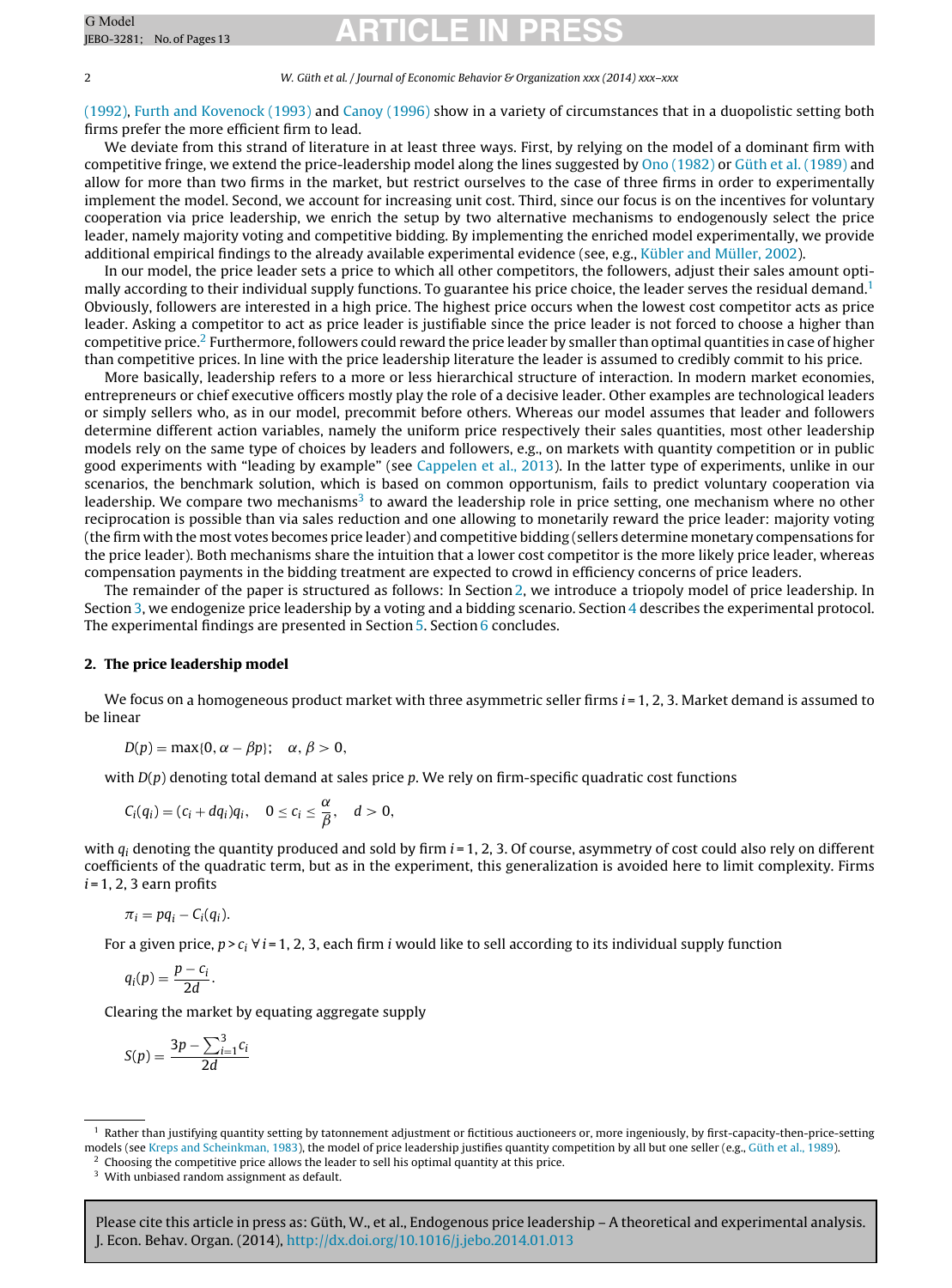# G Model G Model **ARTICLE IN PRESS**

2 W. Güth et al. / Journal of Economic Behavior & Organization xxx (2014) xxx–xxx

[\(1992\),](#page--1-0) [Furth](#page--1-0) [and](#page--1-0) [Kovenock](#page--1-0) [\(1993\)](#page--1-0) and [Canoy](#page--1-0) [\(1996\)](#page--1-0) show in a variety of circumstances that in a duopolistic setting both firms prefer the more efficient firm to lead.

We deviate from this strand of literature in at least three ways. First, by relying on the model of a dominant firm with competitive fringe, we extend the price-leadership model along the lines suggested by [Ono](#page--1-0) [\(1982\)](#page--1-0) or [Güth](#page--1-0) et [al.](#page--1-0) [\(1989\)](#page--1-0) and allow for more than two firms in the market, but restrict ourselves to the case of three firms in order to experimentally implement the model. Second, we account for increasing unit cost. Third, since our focus is on the incentives for voluntary cooperation via price leadership, we enrich the setup by two alternative mechanisms to endogenously select the price leader, namely majority voting and competitive bidding. By implementing the enriched model experimentally, we provide additional empirical findings to the already available experimental evidence (see, e.g., [Kübler](#page--1-0) [and](#page--1-0) [Müller,](#page--1-0) [2002\).](#page--1-0)

In our model, the price leader sets a price to which all other competitors, the followers, adjust their sales amount optimally according to their individual supply functions. To guarantee his price choice, the leader serves the residual demand.<sup>1</sup> Obviously, followers are interested in a high price. The highest price occurs when the lowest cost competitor acts as price leader. Asking a competitor to act as price leader is justifiable since the price leader is not forced to choose a higher than competitive price.2 Furthermore, followers could reward the price leader by smaller than optimal quantities in case of higher than competitive prices. In line with the price leadership literature the leader is assumed to credibly commit to his price.

More basically, leadership refers to a more or less hierarchical structure of interaction. In modern market economies, entrepreneurs or chief executive officers mostly play the role of a decisive leader. Other examples are technological leaders or simply sellers who, as in our model, precommit before others. Whereas our model assumes that leader and followers determine different action variables, namely the uniform price respectively their sales quantities, most other leadership models rely on the same type of choices by leaders and followers, e.g., on markets with quantity competition or in public good experiments with "leading by example" (see [Cappelen](#page--1-0) et [al.,](#page--1-0) [2013\).](#page--1-0) In the latter type of experiments, unlike in our scenarios, the benchmark solution, which is based on common opportunism, fails to predict voluntary cooperation via leadership. We compare two mechanisms<sup>3</sup> to award the leadership role in price setting, one mechanism where no other reciprocation is possible than via sales reduction and one allowing to monetarily reward the price leader: majority voting (the firm with the most votes becomes price leader) and competitive bidding (sellers determine monetary compensations for the price leader). Both mechanisms share the intuition that a lower cost competitor is the more likely price leader, whereas compensation payments in the bidding treatment are expected to crowd in efficiency concerns of price leaders.

The remainder of the paper is structured as follows: In Section 2, we introduce a triopoly model of price leadership. In Section [3,](#page--1-0) we endogenize price leadership by a voting and a bidding scenario. Section [4](#page--1-0) describes the experimental protocol. The experimental findings are presented in Section [5.](#page--1-0) Section [6](#page--1-0) concludes.

#### **2. The price leadership model**

We focus on a homogeneous product market with three asymmetric seller firms  $i = 1, 2, 3$ . Market demand is assumed to be linear

$$
D(p) = \max\{0, \alpha - \beta p\}; \quad \alpha, \beta > 0,
$$

with  $D(p)$  denoting total demand at sales price p. We rely on firm-specific quadratic cost functions

$$
C_i(q_i)=(c_i+dq_i)q_i, \quad 0\leq c_i\leq \frac{\alpha}{\beta}, \quad d>0,
$$

with  $q_i$  denoting the quantity produced and sold by firm  $i = 1, 2, 3$ . Of course, asymmetry of cost could also rely on different coefficients of the quadratic term, but as in the experiment, this generalization is avoided here to limit complexity. Firms  $i = 1, 2, 3$  earn profits

$$
\pi_i = pq_i - C_i(q_i).
$$

For a given price,  $p > c_i \forall i = 1, 2, 3$ , each firm i would like to sell according to its individual supply function

$$
q_i(p) = \frac{p - c_i}{2d}.
$$

Clearing the market by equating aggregate supply

$$
S(p) = \frac{3p - \sum_{i=1}^{3} c_i}{2d}
$$

Please cite this article in press as: Güth, W., et al., Endogenous price leadership – A theoretical and experimental analysis. J. Econ. Behav. Organ. (2014), [http://dx.doi.org/10.1016/j.jebo.2014.01.013](dx.doi.org/10.1016/j.jebo.2014.01.013)

 $1$  Rather than justifying quantity setting by tatonnement adjustment or fictitious auctioneers or, more ingeniously, by first-capacity-then-price-setting models (see [Kreps](#page--1-0) [and](#page--1-0) [Scheinkman,](#page--1-0) [1983\),](#page--1-0) the model of price leadership justifies quantity competition by all but one seller (e.g., [Güth](#page--1-0) et [al.,](#page--1-0) [1989\).](#page--1-0)

<sup>2</sup> Choosing the competitive price allows the leader to sell his optimal quantity at this price.

<sup>&</sup>lt;sup>3</sup> With unbiased random assignment as default.